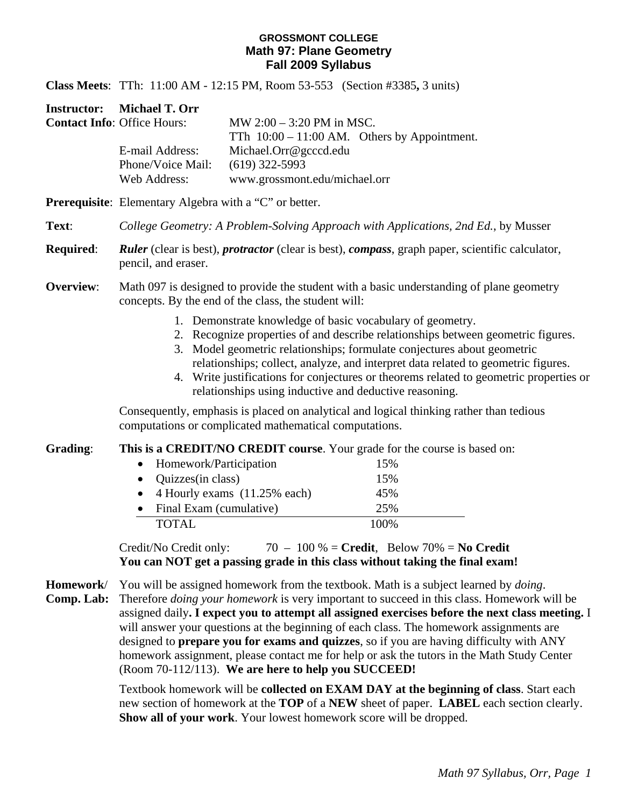### **GROSSMONT COLLEGE Math 97: Plane Geometry Fall 2009 Syllabus**

**Class Meets**: TTh: 11:00 AM - 12:15 PM, Room 53-553 (Section #3385**,** 3 units)

**Instructor: Michael T. Orr Contact In** 

| MW $2:00 - 3:20$ PM in MSC.                    |
|------------------------------------------------|
| TTh $10:00 - 11:00$ AM. Others by Appointment. |
| Michael.Orr@gcccd.edu                          |
| $(619)$ 322-5993                               |
| www.grossmont.edu/michael.orr                  |
|                                                |

**Prerequisite**: Elementary Algebra with a "C" or better.

- **Text**: *College Geometry: A Problem-Solving Approach with Applications, 2nd Ed.*, by Musser
- **Required**: *Ruler* (clear is best), *protractor* (clear is best), *compass*, graph paper, scientific calculator, pencil, and eraser.

## **Overview:** Math 097 is designed to provide the student with a basic understanding of plane geometry concepts. By the end of the class, the student will:

- 1. Demonstrate knowledge of basic vocabulary of geometry.
- 2. Recognize properties of and describe relationships between geometric figures.
- 3. Model geometric relationships; formulate conjectures about geometric relationships; collect, analyze, and interpret data related to geometric figures.
- 4. Write justifications for conjectures or theorems related to geometric properties or relationships using inductive and deductive reasoning.

Consequently, emphasis is placed on analytical and logical thinking rather than tedious computations or complicated mathematical computations.

**Grading**: **This is a CREDIT/NO CREDIT course**. Your grade for the course is based on:

| • Homework/Participation          | 15%   |
|-----------------------------------|-------|
| • Quizzes $(in class)$            | 15%   |
| • 4 Hourly exams $(11.25\%$ each) | 45%   |
| Final Exam (cumulative)           | 25%   |
| <b>TOTAL</b>                      | 100\% |

Credit/No Credit only: 70 – 100 % = **Credit**, Below 70% = **No Credit You can NOT get a passing grade in this class without taking the final exam!** 

**Homework**/ You will be assigned homework from the textbook. Math is a subject learned by *doing*.

**Comp. Lab:** Therefore *doing your homework* is very important to succeed in this class. Homework will be assigned daily**. I expect you to attempt all assigned exercises before the next class meeting.** I will answer your questions at the beginning of each class. The homework assignments are designed to **prepare you for exams and quizzes**, so if you are having difficulty with ANY homework assignment, please contact me for help or ask the tutors in the Math Study Center (Room 70-112/113). **We are here to help you SUCCEED!**

> Textbook homework will be **collected on EXAM DAY at the beginning of class**. Start each new section of homework at the **TOP** of a **NEW** sheet of paper. **LABEL** each section clearly. **Show all of your work**. Your lowest homework score will be dropped.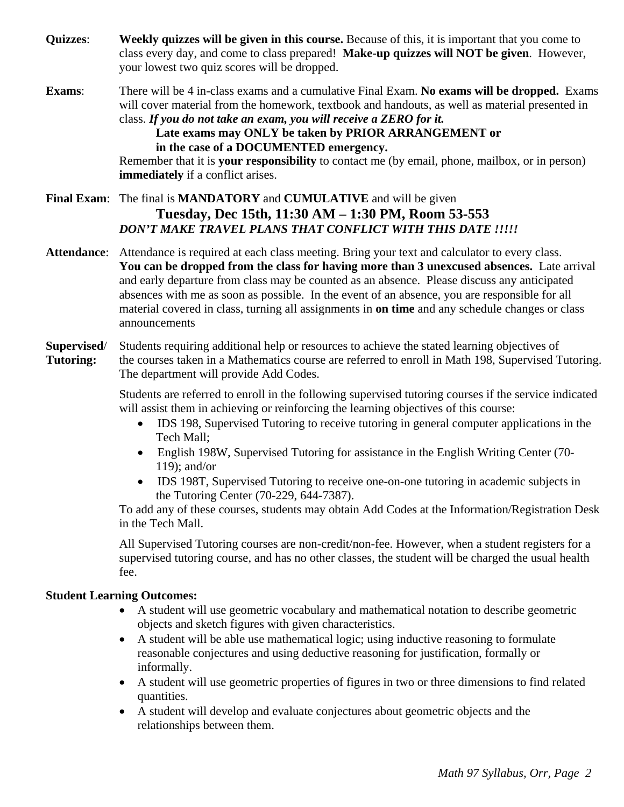- **Quizzes**: **Weekly quizzes will be given in this course.** Because of this, it is important that you come to class every day, and come to class prepared! **Make-up quizzes will NOT be given**. However, your lowest two quiz scores will be dropped.
- **Exams**: There will be 4 in-class exams and a cumulative Final Exam. **No exams will be dropped.** Exams will cover material from the homework, textbook and handouts, as well as material presented in class. *If you do not take an exam, you will receive a ZERO for it.*

**Late exams may ONLY be taken by PRIOR ARRANGEMENT or in the case of a DOCUMENTED emergency.**

Remember that it is **your responsibility** to contact me (by email, phone, mailbox, or in person) **immediately** if a conflict arises.

## **Final Exam**: The final is **MANDATORY** and **CUMULATIVE** and will be given **Tuesday, Dec 15th, 11:30 AM – 1:30 PM, Room 53-553** *DON'T MAKE TRAVEL PLANS THAT CONFLICT WITH THIS DATE !!!!!*

**Attendance**: Attendance is required at each class meeting. Bring your text and calculator to every class. **You can be dropped from the class for having more than 3 unexcused absences.** Late arrival and early departure from class may be counted as an absence. Please discuss any anticipated absences with me as soon as possible. In the event of an absence, you are responsible for all material covered in class, turning all assignments in **on time** and any schedule changes or class announcements

## **Supervised**/ Students requiring additional help or resources to achieve the stated learning objectives of **Tutoring:** the courses taken in a Mathematics course are referred to enroll in Math 198, Supervised Tutoring. The department will provide Add Codes.

 Students are referred to enroll in the following supervised tutoring courses if the service indicated will assist them in achieving or reinforcing the learning objectives of this course:

- IDS 198, Supervised Tutoring to receive tutoring in general computer applications in the Tech Mall;
- English 198W, Supervised Tutoring for assistance in the English Writing Center (70- 119); and/or
- IDS 198T, Supervised Tutoring to receive one-on-one tutoring in academic subjects in the Tutoring Center (70-229, 644-7387).

To add any of these courses, students may obtain Add Codes at the Information/Registration Desk in the Tech Mall.

All Supervised Tutoring courses are non-credit/non-fee. However, when a student registers for a supervised tutoring course, and has no other classes, the student will be charged the usual health fee.

## **Student Learning Outcomes:**

- A student will use geometric vocabulary and mathematical notation to describe geometric objects and sketch figures with given characteristics.
- A student will be able use mathematical logic; using inductive reasoning to formulate reasonable conjectures and using deductive reasoning for justification, formally or informally.
- A student will use geometric properties of figures in two or three dimensions to find related quantities.
- A student will develop and evaluate conjectures about geometric objects and the relationships between them.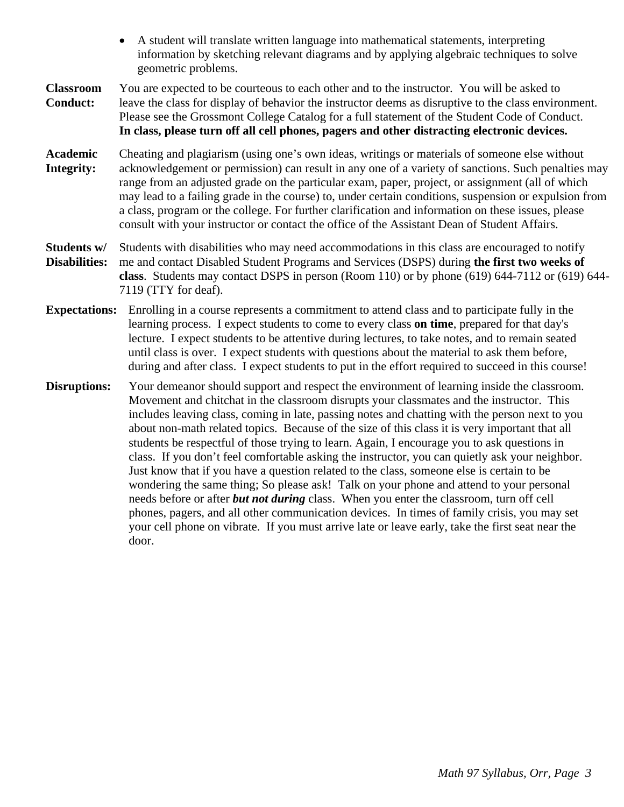- A student will translate written language into mathematical statements, interpreting information by sketching relevant diagrams and by applying algebraic techniques to solve geometric problems.
- **Classroom** You are expected to be courteous to each other and to the instructor. You will be asked to **Conduct:** leave the class for display of behavior the instructor deems as disruptive to the class environment. Please see the Grossmont College Catalog for a full statement of the Student Code of Conduct. **In class, please turn off all cell phones, pagers and other distracting electronic devices.**
- **Academic** Cheating and plagiarism (using one's own ideas, writings or materials of someone else without **Integrity:** acknowledgement or permission) can result in any one of a variety of sanctions. Such penalties may range from an adjusted grade on the particular exam, paper, project, or assignment (all of which may lead to a failing grade in the course) to, under certain conditions, suspension or expulsion from a class, program or the college. For further clarification and information on these issues, please consult with your instructor or contact the office of the Assistant Dean of Student Affairs.
- **Students w/** Students with disabilities who may need accommodations in this class are encouraged to notify **Disabilities:** me and contact Disabled Student Programs and Services (DSPS) during **the first two weeks of class**. Students may contact DSPS in person (Room 110) or by phone (619) 644-7112 or (619) 644- 7119 (TTY for deaf).
- **Expectations:** Enrolling in a course represents a commitment to attend class and to participate fully in the learning process. I expect students to come to every class **on time**, prepared for that day's lecture. I expect students to be attentive during lectures, to take notes, and to remain seated until class is over. I expect students with questions about the material to ask them before, during and after class. I expect students to put in the effort required to succeed in this course!
- **Disruptions:** Your demeanor should support and respect the environment of learning inside the classroom. Movement and chitchat in the classroom disrupts your classmates and the instructor. This includes leaving class, coming in late, passing notes and chatting with the person next to you about non-math related topics. Because of the size of this class it is very important that all students be respectful of those trying to learn. Again, I encourage you to ask questions in class. If you don't feel comfortable asking the instructor, you can quietly ask your neighbor. Just know that if you have a question related to the class, someone else is certain to be wondering the same thing; So please ask! Talk on your phone and attend to your personal needs before or after *but not during* class. When you enter the classroom, turn off cell phones, pagers, and all other communication devices. In times of family crisis, you may set your cell phone on vibrate. If you must arrive late or leave early, take the first seat near the door.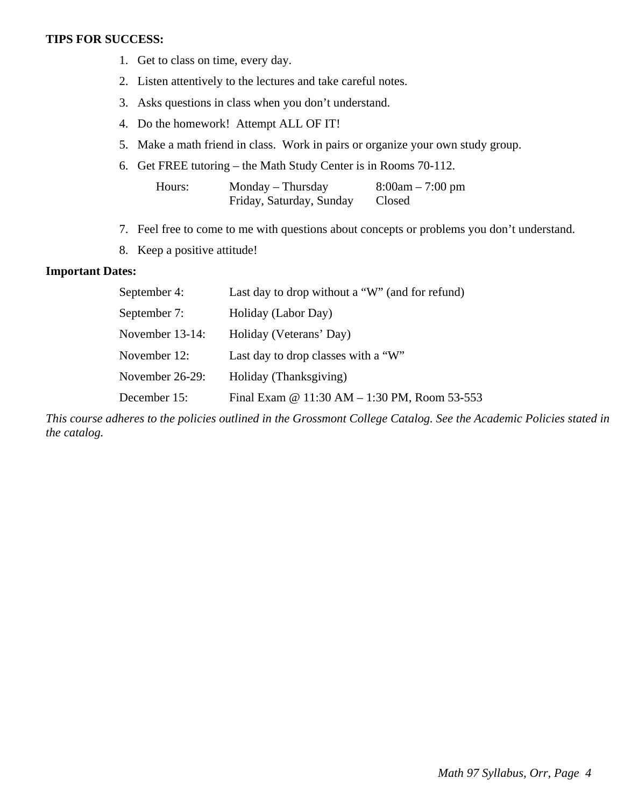#### **TIPS FOR SUCCESS:**

- 1. Get to class on time, every day.
- 2. Listen attentively to the lectures and take careful notes.
- 3. Asks questions in class when you don't understand.
- 4. Do the homework! Attempt ALL OF IT!
- 5. Make a math friend in class. Work in pairs or organize your own study group.
- 6. Get FREE tutoring the Math Study Center is in Rooms 70-112.

| Hours: | $Monday - Thursday$      | $8:00am - 7:00 pm$ |
|--------|--------------------------|--------------------|
|        | Friday, Saturday, Sunday | Closed             |

- 7. Feel free to come to me with questions about concepts or problems you don't understand.
- 8. Keep a positive attitude!

### **Important Dates:**

| September 4:       | Last day to drop without a "W" (and for refund) |
|--------------------|-------------------------------------------------|
| September 7:       | Holiday (Labor Day)                             |
| November $13-14$ : | Holiday (Veterans' Day)                         |
| November 12:       | Last day to drop classes with a "W"             |
| November 26-29:    | Holiday (Thanksgiving)                          |
| December 15:       | Final Exam @ 11:30 AM - 1:30 PM, Room 53-553    |

*This course adheres to the policies outlined in the Grossmont College Catalog. See the Academic Policies stated in the catalog.*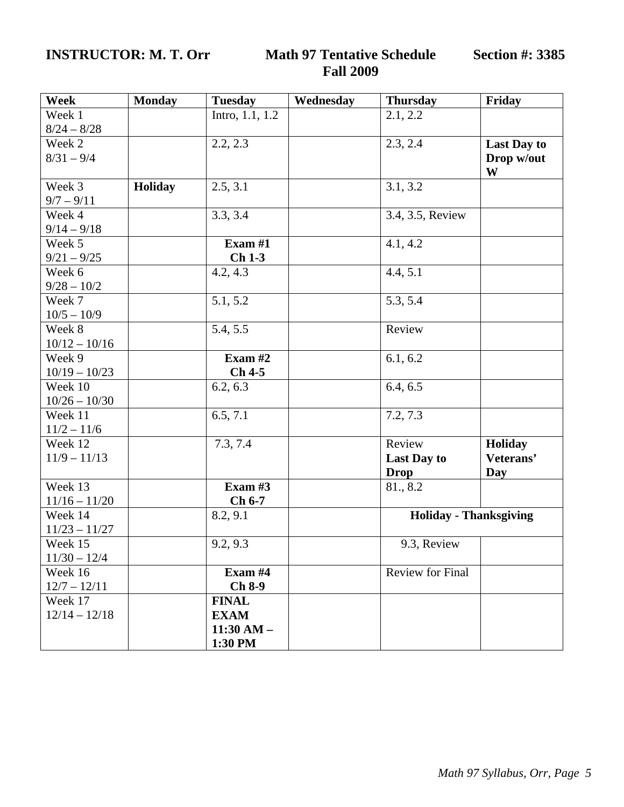## **INSTRUCTOR: M. T. Orr Math 97 Tentative Schedule**

# **Fall 2009**

| Week            | <b>Monday</b> | <b>Tuesday</b>  | Wednesday | <b>Thursday</b>               | Friday             |
|-----------------|---------------|-----------------|-----------|-------------------------------|--------------------|
| Week 1          |               | Intro, 1.1, 1.2 |           | 2.1, 2.2                      |                    |
| $8/24 - 8/28$   |               |                 |           |                               |                    |
| Week 2          |               | 2.2, 2.3        |           | 2.3, 2.4                      | <b>Last Day to</b> |
| $8/31 - 9/4$    |               |                 |           |                               | Drop w/out         |
|                 |               |                 |           |                               | W                  |
| Week 3          | Holiday       | 2.5, 3.1        |           | 3.1, 3.2                      |                    |
| $9/7 - 9/11$    |               |                 |           |                               |                    |
| Week 4          |               | 3.3, 3.4        |           | 3.4, 3.5, Review              |                    |
| $9/14 - 9/18$   |               |                 |           |                               |                    |
| Week 5          |               | Exam $#1$       |           | 4.1, 4.2                      |                    |
| $9/21 - 9/25$   |               | $Ch1-3$         |           |                               |                    |
| Week 6          |               | 4.2, 4.3        |           | 4.4, 5.1                      |                    |
| $9/28 - 10/2$   |               |                 |           |                               |                    |
| Week 7          |               | 5.1, 5.2        |           | 5.3, 5.4                      |                    |
| $10/5 - 10/9$   |               |                 |           |                               |                    |
| Week 8          |               | 5.4, 5.5        |           | Review                        |                    |
| $10/12 - 10/16$ |               |                 |           |                               |                    |
| Week 9          |               | Exam $#2$       |           | 6.1, 6.2                      |                    |
| $10/19 - 10/23$ |               | $Ch$ 4-5        |           |                               |                    |
| Week 10         |               | 6.2, 6.3        |           | 6.4, 6.5                      |                    |
| $10/26 - 10/30$ |               |                 |           |                               |                    |
| Week 11         |               | 6.5, 7.1        |           | 7.2, 7.3                      |                    |
| $11/2 - 11/6$   |               |                 |           |                               |                    |
| Week 12         |               | 7.3, 7.4        |           | Review                        | Holiday            |
| $11/9 - 11/13$  |               |                 |           | Last Day to                   | Veterans'          |
|                 |               |                 |           | <b>Drop</b>                   | Day                |
| Week 13         |               | Exam $#3$       |           | 81., 8.2                      |                    |
| $11/16 - 11/20$ |               | $Ch 6-7$        |           |                               |                    |
| Week 14         |               | 8.2, 9.1        |           | <b>Holiday - Thanksgiving</b> |                    |
| $11/23 - 11/27$ |               |                 |           |                               |                    |
| Week 15         |               | 9.2, 9.3        |           | 9.3, Review                   |                    |
| $11/30 - 12/4$  |               |                 |           |                               |                    |
| Week 16         |               | Exam #4         |           | <b>Review for Final</b>       |                    |
| $12/7 - 12/11$  |               | $Ch 8-9$        |           |                               |                    |
| Week 17         |               | <b>FINAL</b>    |           |                               |                    |
| $12/14 - 12/18$ |               | <b>EXAM</b>     |           |                               |                    |
|                 |               | $11:30$ AM $-$  |           |                               |                    |
|                 |               | 1:30 PM         |           |                               |                    |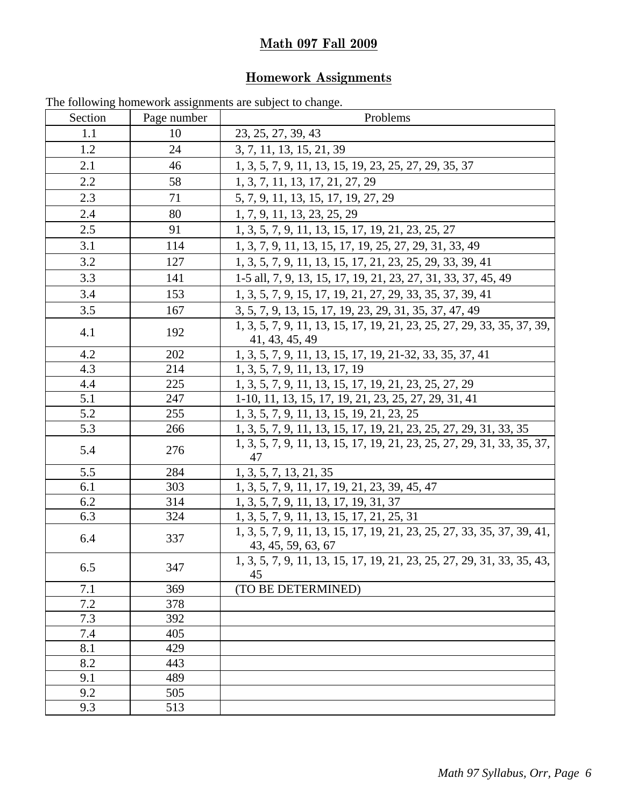## **Math 097 Fall 2009**

## **Homework Assignments**

| --- 0<br>Section | -0-<br>Page number | Problems                                                                                     |
|------------------|--------------------|----------------------------------------------------------------------------------------------|
| 1.1              | 10                 | 23, 25, 27, 39, 43                                                                           |
| 1.2              | 24                 | 3, 7, 11, 13, 15, 21, 39                                                                     |
| 2.1              | 46                 | 1, 3, 5, 7, 9, 11, 13, 15, 19, 23, 25, 27, 29, 35, 37                                        |
| 2.2              | 58                 | 1, 3, 7, 11, 13, 17, 21, 27, 29                                                              |
| 2.3              | 71                 | 5, 7, 9, 11, 13, 15, 17, 19, 27, 29                                                          |
| 2.4              | 80                 | 1, 7, 9, 11, 13, 23, 25, 29                                                                  |
| 2.5              | 91                 | 1, 3, 5, 7, 9, 11, 13, 15, 17, 19, 21, 23, 25, 27                                            |
| 3.1              | 114                | 1, 3, 7, 9, 11, 13, 15, 17, 19, 25, 27, 29, 31, 33, 49                                       |
| 3.2              | 127                | 1, 3, 5, 7, 9, 11, 13, 15, 17, 21, 23, 25, 29, 33, 39, 41                                    |
| 3.3              | 141                | 1-5 all, 7, 9, 13, 15, 17, 19, 21, 23, 27, 31, 33, 37, 45, 49                                |
| 3.4              | 153                | 1, 3, 5, 7, 9, 15, 17, 19, 21, 27, 29, 33, 35, 37, 39, 41                                    |
| 3.5              | 167                | 3, 5, 7, 9, 13, 15, 17, 19, 23, 29, 31, 35, 37, 47, 49                                       |
|                  |                    | 1, 3, 5, 7, 9, 11, 13, 15, 17, 19, 21, 23, 25, 27, 29, 33, 35, 37, 39,                       |
| 4.1              | 192                | 41, 43, 45, 49                                                                               |
| 4.2              | 202                | 1, 3, 5, 7, 9, 11, 13, 15, 17, 19, 21-32, 33, 35, 37, 41                                     |
| 4.3              | 214                | 1, 3, 5, 7, 9, 11, 13, 17, 19                                                                |
| 4.4              | 225                | 1, 3, 5, 7, 9, 11, 13, 15, 17, 19, 21, 23, 25, 27, 29                                        |
| 5.1              | 247                | 1-10, 11, 13, 15, 17, 19, 21, 23, 25, 27, 29, 31, 41                                         |
| 5.2              | 255                | 1, 3, 5, 7, 9, 11, 13, 15, 19, 21, 23, 25                                                    |
| 5.3              | 266                | 1, 3, 5, 7, 9, 11, 13, 15, 17, 19, 21, 23, 25, 27, 29, 31, 33, 35                            |
| 5.4              | 276                | 1, 3, 5, 7, 9, 11, 13, 15, 17, 19, 21, 23, 25, 27, 29, 31, 33, 35, 37,<br>47                 |
| 5.5              | 284                | 1, 3, 5, 7, 13, 21, 35                                                                       |
| 6.1              | 303                | 1, 3, 5, 7, 9, 11, 17, 19, 21, 23, 39, 45, 47                                                |
| 6.2              | 314                | 1, 3, 5, 7, 9, 11, 13, 17, 19, 31, 37                                                        |
| 6.3              | 324                | 1, 3, 5, 7, 9, 11, 13, 15, 17, 21, 25, 31                                                    |
| 6.4              | 337                | 1, 3, 5, 7, 9, 11, 13, 15, 17, 19, 21, 23, 25, 27, 33, 35, 37, 39, 41,<br>43, 45, 59, 63, 67 |
| 6.5              | 347                | 1, 3, 5, 7, 9, 11, 13, 15, 17, 19, 21, 23, 25, 27, 29, 31, 33, 35, 43,  <br>45               |
| 7.1              | 369                | (TO BE DETERMINED)                                                                           |
| 7.2              | 378                |                                                                                              |
| 7.3              | 392                |                                                                                              |
| 7.4              | 405                |                                                                                              |
| 8.1              | 429                |                                                                                              |
| 8.2              | 443                |                                                                                              |
| 9.1              | 489                |                                                                                              |
| 9.2              | 505                |                                                                                              |
| 9.3              | 513                |                                                                                              |

The following homework assignments are subject to change.